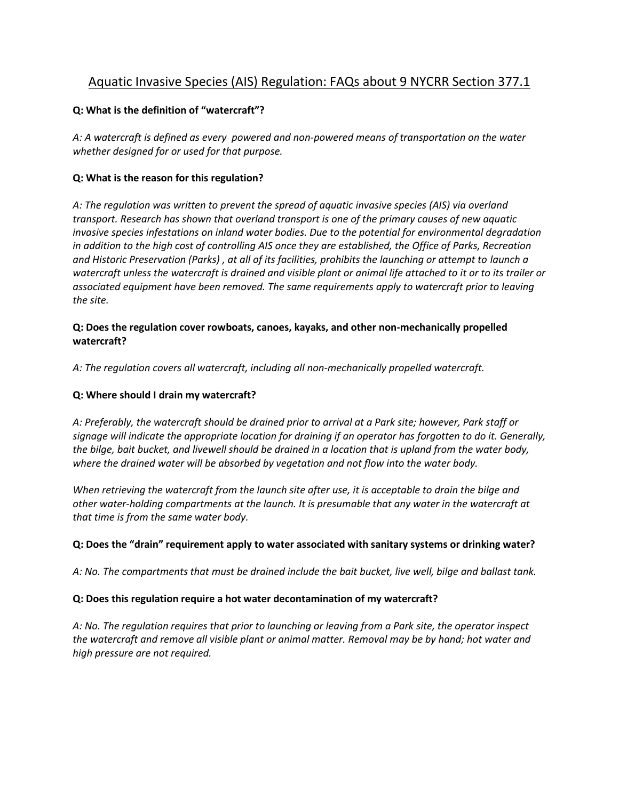# Aquatic Invasive Species (AIS) Regulation: FAQs about 9 NYCRR Section 377.1

# **Q: What is the definition of "watercraft"?**

*A: A watercraft is defined as every powered and non-powered means of transportation on the water whether designed for or used for that purpose.*

# **Q: What is the reason for this regulation?**

*A: The regulation was written to prevent the spread of aquatic invasive species (AIS) via overland transport. Research has shown that overland transport is one of the primary causes of new aquatic invasive species infestations on inland water bodies. Due to the potential for environmental degradation in addition to the high cost of controlling AIS once they are established, the Office of Parks, Recreation and Historic Preservation (Parks) , at all of its facilities, prohibits the launching or attempt to launch a watercraft unless the watercraft is drained and visible plant or animal life attached to it or to its trailer or associated equipment have been removed. The same requirements apply to watercraft prior to leaving the site.*

# **Q: Does the regulation cover rowboats, canoes, kayaks, and other non-mechanically propelled watercraft?**

*A: The regulation covers all watercraft, including all non-mechanically propelled watercraft.*

# **Q: Where should I drain my watercraft?**

*A: Preferably, the watercraft should be drained prior to arrival at a Park site; however, Park staff or signage will indicate the appropriate location for draining if an operator has forgotten to do it. Generally, the bilge, bait bucket, and livewell should be drained in a location that is upland from the water body, where the drained water will be absorbed by vegetation and not flow into the water body.* 

*When retrieving the watercraft from the launch site after use, it is acceptable to drain the bilge and other water-holding compartments at the launch. It is presumable that any water in the watercraft at that time is from the same water body.*

# **Q: Does the "drain" requirement apply to water associated with sanitary systems or drinking water?**

*A: No. The compartments that must be drained include the bait bucket, live well, bilge and ballast tank.* 

#### **Q: Does this regulation require a hot water decontamination of my watercraft?**

*A: No. The regulation requires that prior to launching or leaving from a Park site, the operator inspect the watercraft and remove all visible plant or animal matter. Removal may be by hand; hot water and high pressure are not required.*